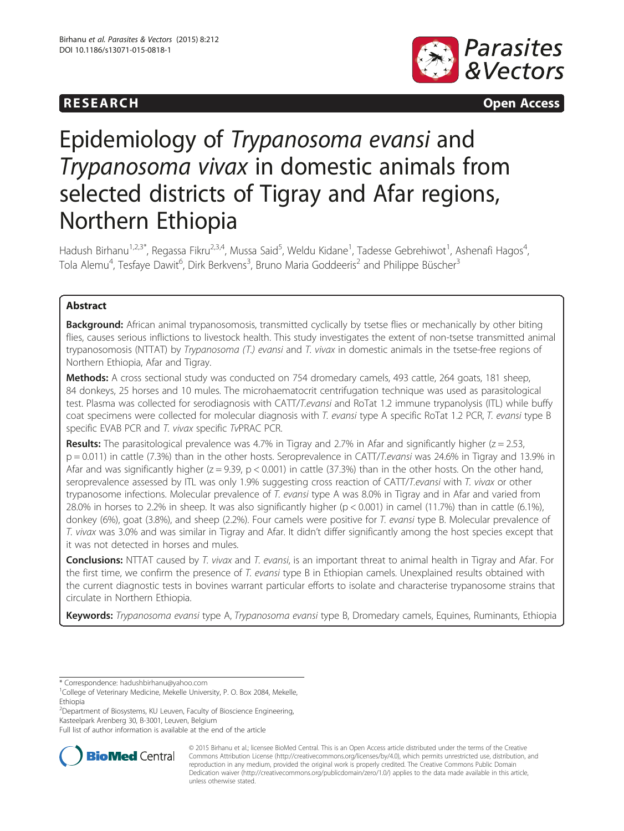# **RESEARCH RESEARCH CONSUMING ACCESS**



# Epidemiology of Trypanosoma evansi and Trypanosoma vivax in domestic animals from selected districts of Tigray and Afar regions, Northern Ethiopia

Hadush Birhanu<sup>1,2,3\*</sup>, Regassa Fikru<sup>2,3,4</sup>, Mussa Said<sup>5</sup>, Weldu Kidane<sup>1</sup>, Tadesse Gebrehiwot<sup>1</sup>, Ashenafi Hagos<sup>4</sup> , Tola Alemu<sup>4</sup>, Tesfaye Dawit<sup>6</sup>, Dirk Berkvens<sup>3</sup>, Bruno Maria Goddeeris<sup>2</sup> and Philippe Büscher<sup>3</sup>

# Abstract

Background: African animal trypanosomosis, transmitted cyclically by tsetse flies or mechanically by other biting flies, causes serious inflictions to livestock health. This study investigates the extent of non-tsetse transmitted animal trypanosomosis (NTTAT) by Trypanosoma (T.) evansi and T. vivax in domestic animals in the tsetse-free regions of Northern Ethiopia, Afar and Tigray.

Methods: A cross sectional study was conducted on 754 dromedary camels, 493 cattle, 264 goats, 181 sheep, 84 donkeys, 25 horses and 10 mules. The microhaematocrit centrifugation technique was used as parasitological test. Plasma was collected for serodiagnosis with CATT/T.evansi and RoTat 1.2 immune trypanolysis (ITL) while buffy coat specimens were collected for molecular diagnosis with T. evansi type A specific RoTat 1.2 PCR, T. evansi type B specific EVAB PCR and T. vivax specific TvPRAC PCR.

**Results:** The parasitological prevalence was 4.7% in Tigray and 2.7% in Afar and significantly higher ( $z = 2.53$ ,  $p = 0.011$ ) in cattle (7.3%) than in the other hosts. Seroprevalence in CATT/T.evansi was 24.6% in Tigray and 13.9% in Afar and was significantly higher ( $z = 9.39$ ,  $p < 0.001$ ) in cattle (37.3%) than in the other hosts. On the other hand, seroprevalence assessed by ITL was only 1.9% suggesting cross reaction of CATT/T.evansi with T. vivax or other trypanosome infections. Molecular prevalence of T. evansi type A was 8.0% in Tigray and in Afar and varied from 28.0% in horses to 2.2% in sheep. It was also significantly higher (p < 0.001) in camel (11.7%) than in cattle (6.1%), donkey (6%), goat (3.8%), and sheep (2.2%). Four camels were positive for T. evansi type B. Molecular prevalence of T. vivax was 3.0% and was similar in Tigray and Afar. It didn't differ significantly among the host species except that it was not detected in horses and mules.

Conclusions: NTTAT caused by T. vivax and T. evansi, is an important threat to animal health in Tigray and Afar. For the first time, we confirm the presence of T. evansi type B in Ethiopian camels. Unexplained results obtained with the current diagnostic tests in bovines warrant particular efforts to isolate and characterise trypanosome strains that circulate in Northern Ethiopia.

Keywords: Trypanosoma evansi type A, Trypanosoma evansi type B, Dromedary camels, Equines, Ruminants, Ethiopia

<sup>2</sup>Department of Biosystems, KU Leuven, Faculty of Bioscience Engineering, Kasteelpark Arenberg 30, B-3001, Leuven, Belgium

Full list of author information is available at the end of the article



© 2015 Birhanu et al.; licensee BioMed Central. This is an Open Access article distributed under the terms of the Creative Commons Attribution License [\(http://creativecommons.org/licenses/by/4.0\)](http://creativecommons.org/licenses/by/4.0), which permits unrestricted use, distribution, and reproduction in any medium, provided the original work is properly credited. The Creative Commons Public Domain Dedication waiver [\(http://creativecommons.org/publicdomain/zero/1.0/](http://creativecommons.org/publicdomain/zero/1.0/)) applies to the data made available in this article, unless otherwise stated.

<sup>\*</sup> Correspondence: [hadushbirhanu@yahoo.com](mailto:hadushbirhanu@yahoo.com) <sup>1</sup>

<sup>&</sup>lt;sup>1</sup>College of Veterinary Medicine, Mekelle University, P. O. Box 2084, Mekelle, Ethiopia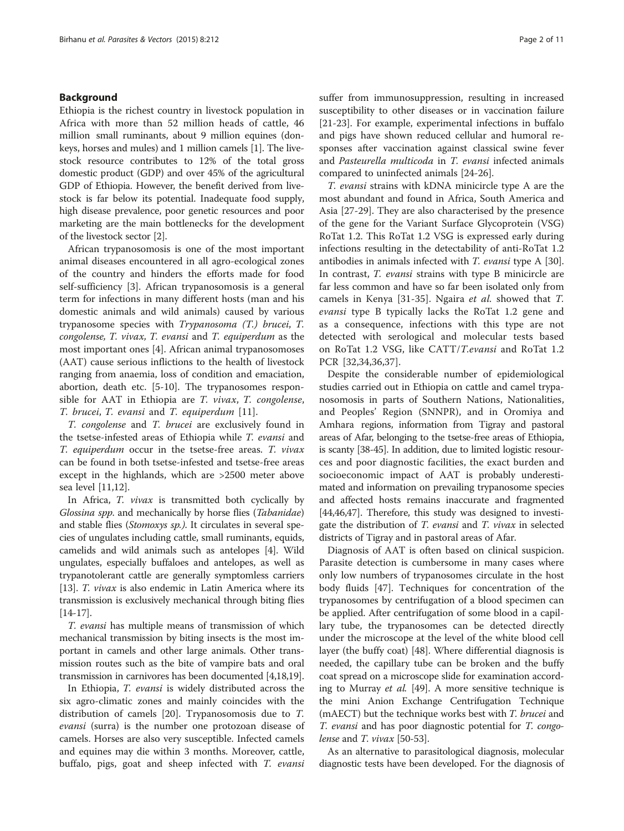#### Background

Ethiopia is the richest country in livestock population in Africa with more than 52 million heads of cattle, 46 million small ruminants, about 9 million equines (donkeys, horses and mules) and 1 million camels [\[1](#page-8-0)]. The livestock resource contributes to 12% of the total gross domestic product (GDP) and over 45% of the agricultural GDP of Ethiopia. However, the benefit derived from livestock is far below its potential. Inadequate food supply, high disease prevalence, poor genetic resources and poor marketing are the main bottlenecks for the development of the livestock sector [[2](#page-8-0)].

African trypanosomosis is one of the most important animal diseases encountered in all agro-ecological zones of the country and hinders the efforts made for food self-sufficiency [\[3](#page-8-0)]. African trypanosomosis is a general term for infections in many different hosts (man and his domestic animals and wild animals) caused by various trypanosome species with Trypanosoma (T.) brucei, T. congolense, T. vivax, T. evansi and T. equiperdum as the most important ones [\[4](#page-8-0)]. African animal trypanosomoses (AAT) cause serious inflictions to the health of livestock ranging from anaemia, loss of condition and emaciation, abortion, death etc. [\[5-10](#page-8-0)]. The trypanosomes responsible for AAT in Ethiopia are T. vivax, T. congolense, T. brucei, T. evansi and T. equiperdum [[11\]](#page-8-0).

T. congolense and T. brucei are exclusively found in the tsetse-infested areas of Ethiopia while T. evansi and T. equiperdum occur in the tsetse-free areas. T. vivax can be found in both tsetse-infested and tsetse-free areas except in the highlands, which are >2500 meter above sea level [[11,12\]](#page-8-0).

In Africa, T. vivax is transmitted both cyclically by Glossina spp. and mechanically by horse flies (Tabanidae) and stable flies (Stomoxys sp.). It circulates in several species of ungulates including cattle, small ruminants, equids, camelids and wild animals such as antelopes [[4](#page-8-0)]. Wild ungulates, especially buffaloes and antelopes, as well as trypanotolerant cattle are generally symptomless carriers [[13](#page-8-0)]. T. vivax is also endemic in Latin America where its transmission is exclusively mechanical through biting flies  $[14-17]$  $[14-17]$  $[14-17]$  $[14-17]$ .

T. evansi has multiple means of transmission of which mechanical transmission by biting insects is the most important in camels and other large animals. Other transmission routes such as the bite of vampire bats and oral transmission in carnivores has been documented [\[4](#page-8-0)[,18](#page-9-0),[19](#page-9-0)].

In Ethiopia, T. evansi is widely distributed across the six agro-climatic zones and mainly coincides with the distribution of camels [[20](#page-9-0)]. Trypanosomosis due to T. evansi (surra) is the number one protozoan disease of camels. Horses are also very susceptible. Infected camels and equines may die within 3 months. Moreover, cattle, buffalo, pigs, goat and sheep infected with T. evansi

suffer from immunosuppression, resulting in increased susceptibility to other diseases or in vaccination failure [[21-23](#page-9-0)]. For example, experimental infections in buffalo and pigs have shown reduced cellular and humoral responses after vaccination against classical swine fever and Pasteurella multicoda in T. evansi infected animals compared to uninfected animals [\[24-26](#page-9-0)].

T. evansi strains with kDNA minicircle type A are the most abundant and found in Africa, South America and Asia [[27](#page-9-0)-[29\]](#page-9-0). They are also characterised by the presence of the gene for the Variant Surface Glycoprotein (VSG) RoTat 1.2. This RoTat 1.2 VSG is expressed early during infections resulting in the detectability of anti-RoTat 1.2 antibodies in animals infected with T. evansi type A [\[30](#page-9-0)]. In contrast, T. evansi strains with type B minicircle are far less common and have so far been isolated only from camels in Kenya [[31-35](#page-9-0)]. Ngaira et al. showed that T. evansi type B typically lacks the RoTat 1.2 gene and as a consequence, infections with this type are not detected with serological and molecular tests based on RoTat 1.2 VSG, like CATT/T.evansi and RoTat 1.2 PCR [\[32](#page-9-0),[34,36,37](#page-9-0)].

Despite the considerable number of epidemiological studies carried out in Ethiopia on cattle and camel trypanosomosis in parts of Southern Nations, Nationalities, and Peoples' Region (SNNPR), and in Oromiya and Amhara regions, information from Tigray and pastoral areas of Afar, belonging to the tsetse-free areas of Ethiopia, is scanty [\[38](#page-9-0)-[45](#page-9-0)]. In addition, due to limited logistic resources and poor diagnostic facilities, the exact burden and socioeconomic impact of AAT is probably underestimated and information on prevailing trypanosome species and affected hosts remains inaccurate and fragmented [[44](#page-9-0),[46,47\]](#page-9-0). Therefore, this study was designed to investigate the distribution of T. evansi and T. vivax in selected districts of Tigray and in pastoral areas of Afar.

Diagnosis of AAT is often based on clinical suspicion. Parasite detection is cumbersome in many cases where only low numbers of trypanosomes circulate in the host body fluids [[47](#page-9-0)]. Techniques for concentration of the trypanosomes by centrifugation of a blood specimen can be applied. After centrifugation of some blood in a capillary tube, the trypanosomes can be detected directly under the microscope at the level of the white blood cell layer (the buffy coat) [[48\]](#page-9-0). Where differential diagnosis is needed, the capillary tube can be broken and the buffy coat spread on a microscope slide for examination according to Murray et al. [[49\]](#page-9-0). A more sensitive technique is the mini Anion Exchange Centrifugation Technique (mAECT) but the technique works best with T. brucei and T. evansi and has poor diagnostic potential for T. congolense and T. vivax  $[50-53]$ .

As an alternative to parasitological diagnosis, molecular diagnostic tests have been developed. For the diagnosis of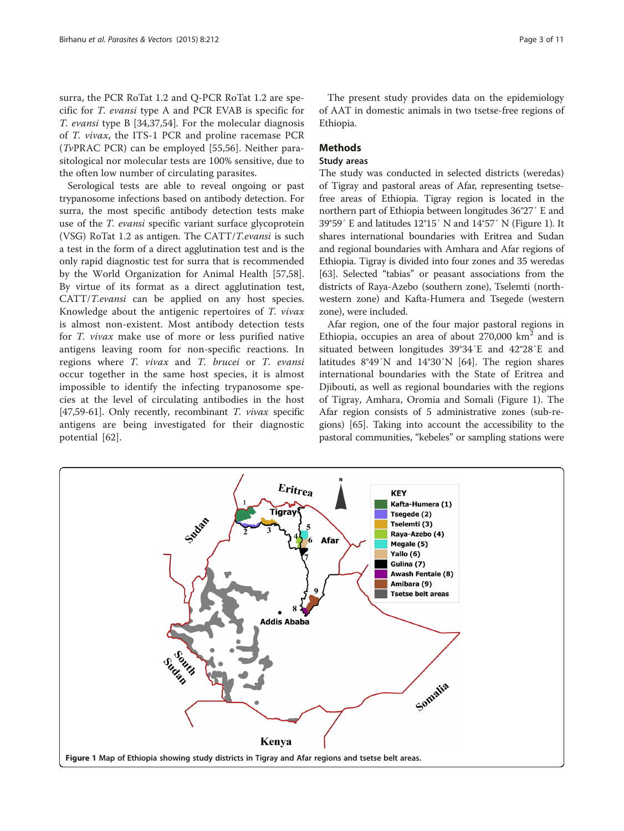surra, the PCR RoTat 1.2 and Q-PCR RoTat 1.2 are specific for T. evansi type A and PCR EVAB is specific for T. evansi type B [[34,37,54](#page-9-0)]. For the molecular diagnosis of T. vivax, the ITS-1 PCR and proline racemase PCR (TvPRAC PCR) can be employed [[55,56\]](#page-9-0). Neither parasitological nor molecular tests are 100% sensitive, due to the often low number of circulating parasites.

Serological tests are able to reveal ongoing or past trypanosome infections based on antibody detection. For surra, the most specific antibody detection tests make use of the T. evansi specific variant surface glycoprotein (VSG) RoTat 1.2 as antigen. The CATT/T.evansi is such a test in the form of a direct agglutination test and is the only rapid diagnostic test for surra that is recommended by the World Organization for Animal Health [\[57,58](#page-9-0)]. By virtue of its format as a direct agglutination test, CATT/T.evansi can be applied on any host species. Knowledge about the antigenic repertoires of T. vivax is almost non-existent. Most antibody detection tests for T. vivax make use of more or less purified native antigens leaving room for non-specific reactions. In regions where T. vivax and T. brucei or T. evansi occur together in the same host species, it is almost impossible to identify the infecting trypanosome species at the level of circulating antibodies in the host [[47,59](#page-9-0)-[61](#page-10-0)]. Only recently, recombinant  $T$ . *vivax* specific antigens are being investigated for their diagnostic potential [[62\]](#page-10-0).

The present study provides data on the epidemiology of AAT in domestic animals in two tsetse-free regions of Ethiopia.

# Methods

# Study areas

The study was conducted in selected districts (weredas) of Tigray and pastoral areas of Afar, representing tsetsefree areas of Ethiopia. Tigray region is located in the northern part of Ethiopia between longitudes 36°27′ E and 39°59′ E and latitudes 12°15′ N and 14°57′ N (Figure 1). It shares international boundaries with Eritrea and Sudan and regional boundaries with Amhara and Afar regions of Ethiopia. Tigray is divided into four zones and 35 weredas [[63](#page-10-0)]. Selected "tabias" or peasant associations from the districts of Raya-Azebo (southern zone), Tselemti (northwestern zone) and Kafta-Humera and Tsegede (western zone), were included.

Afar region, one of the four major pastoral regions in Ethiopia, occupies an area of about  $270,000 \text{ km}^2$  and is situated between longitudes 39°34′E and 42°28′E and latitudes 8°49′N and 14°30′N [[64](#page-10-0)]. The region shares international boundaries with the State of Eritrea and Djibouti, as well as regional boundaries with the regions of Tigray, Amhara, Oromia and Somali (Figure 1). The Afar region consists of 5 administrative zones (sub-regions) [[65](#page-10-0)]. Taking into account the accessibility to the pastoral communities, "kebeles" or sampling stations were

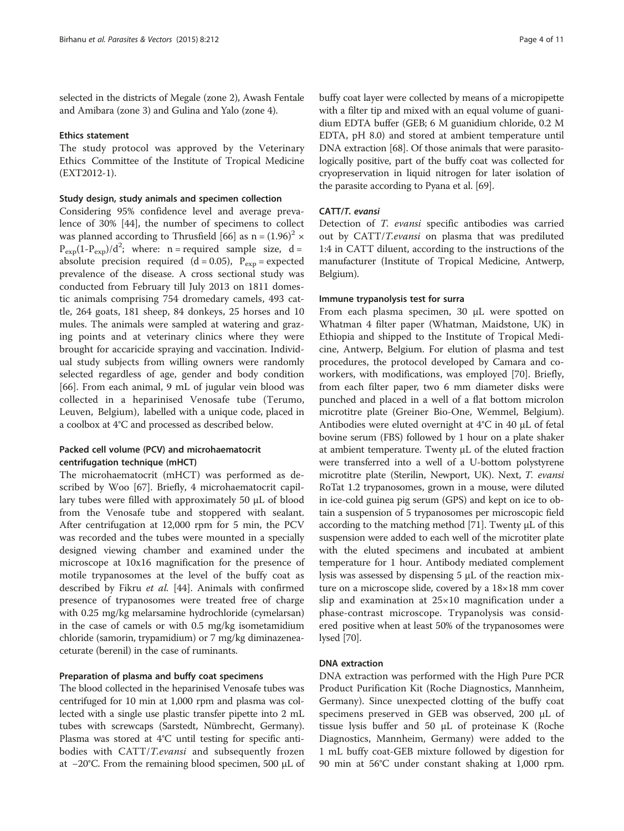selected in the districts of Megale (zone 2), Awash Fentale and Amibara (zone 3) and Gulina and Yalo (zone 4).

#### Ethics statement

The study protocol was approved by the Veterinary Ethics Committee of the Institute of Tropical Medicine (EXT2012-1).

#### Study design, study animals and specimen collection

Considering 95% confidence level and average prevalence of 30% [[44\]](#page-9-0), the number of specimens to collect was planned according to Thrusfield [[66\]](#page-10-0) as  $n = (1.96)^2$  ×  $P_{exp}(1-P_{exp})/d^2$ ; where: n = required sample size, d = absolute precision required  $(d = 0.05)$ ,  $P_{exp} = expected$ prevalence of the disease. A cross sectional study was conducted from February till July 2013 on 1811 domestic animals comprising 754 dromedary camels, 493 cattle, 264 goats, 181 sheep, 84 donkeys, 25 horses and 10 mules. The animals were sampled at watering and grazing points and at veterinary clinics where they were brought for accaricide spraying and vaccination. Individual study subjects from willing owners were randomly selected regardless of age, gender and body condition [[66\]](#page-10-0). From each animal, 9 mL of jugular vein blood was collected in a heparinised Venosafe tube (Terumo, Leuven, Belgium), labelled with a unique code, placed in a coolbox at 4°C and processed as described below.

# Packed cell volume (PCV) and microhaematocrit centrifugation technique (mHCT)

The microhaematocrit (mHCT) was performed as described by Woo [[67](#page-10-0)]. Briefly, 4 microhaematocrit capillary tubes were filled with approximately 50 μL of blood from the Venosafe tube and stoppered with sealant. After centrifugation at 12,000 rpm for 5 min, the PCV was recorded and the tubes were mounted in a specially designed viewing chamber and examined under the microscope at 10x16 magnification for the presence of motile trypanosomes at the level of the buffy coat as described by Fikru et al. [[44\]](#page-9-0). Animals with confirmed presence of trypanosomes were treated free of charge with 0.25 mg/kg melarsamine hydrochloride (cymelarsan) in the case of camels or with 0.5 mg/kg isometamidium chloride (samorin, trypamidium) or 7 mg/kg diminazeneaceturate (berenil) in the case of ruminants.

# Preparation of plasma and buffy coat specimens

The blood collected in the heparinised Venosafe tubes was centrifuged for 10 min at 1,000 rpm and plasma was collected with a single use plastic transfer pipette into 2 mL tubes with screwcaps (Sarstedt, Nümbrecht, Germany). Plasma was stored at 4°C until testing for specific antibodies with CATT/T.evansi and subsequently frozen at −20°C. From the remaining blood specimen, 500 μL of buffy coat layer were collected by means of a micropipette with a filter tip and mixed with an equal volume of guanidium EDTA buffer (GEB; 6 M guanidium chloride, 0.2 M EDTA, pH 8.0) and stored at ambient temperature until DNA extraction [[68](#page-10-0)]. Of those animals that were parasitologically positive, part of the buffy coat was collected for cryopreservation in liquid nitrogen for later isolation of the parasite according to Pyana et al. [\[69\]](#page-10-0).

# CATT/T. evansi

Detection of T. evansi specific antibodies was carried out by CATT/T.evansi on plasma that was prediluted 1:4 in CATT diluent, according to the instructions of the manufacturer (Institute of Tropical Medicine, Antwerp, Belgium).

# Immune trypanolysis test for surra

From each plasma specimen, 30 μL were spotted on Whatman 4 filter paper (Whatman, Maidstone, UK) in Ethiopia and shipped to the Institute of Tropical Medicine, Antwerp, Belgium. For elution of plasma and test procedures, the protocol developed by Camara and coworkers, with modifications, was employed [\[70](#page-10-0)]. Briefly, from each filter paper, two 6 mm diameter disks were punched and placed in a well of a flat bottom microlon microtitre plate (Greiner Bio-One, Wemmel, Belgium). Antibodies were eluted overnight at 4°C in 40 μL of fetal bovine serum (FBS) followed by 1 hour on a plate shaker at ambient temperature. Twenty μL of the eluted fraction were transferred into a well of a U-bottom polystyrene microtitre plate (Sterilin, Newport, UK). Next, T. evansi RoTat 1.2 trypanosomes, grown in a mouse, were diluted in ice-cold guinea pig serum (GPS) and kept on ice to obtain a suspension of 5 trypanosomes per microscopic field according to the matching method [[71](#page-10-0)]. Twenty μL of this suspension were added to each well of the microtiter plate with the eluted specimens and incubated at ambient temperature for 1 hour. Antibody mediated complement lysis was assessed by dispensing 5 μL of the reaction mixture on a microscope slide, covered by a 18×18 mm cover slip and examination at 25×10 magnification under a phase-contrast microscope. Trypanolysis was considered positive when at least 50% of the trypanosomes were lysed [\[70\]](#page-10-0).

#### DNA extraction

DNA extraction was performed with the High Pure PCR Product Purification Kit (Roche Diagnostics, Mannheim, Germany). Since unexpected clotting of the buffy coat specimens preserved in GEB was observed, 200 μL of tissue lysis buffer and 50 μL of proteinase K (Roche Diagnostics, Mannheim, Germany) were added to the 1 mL buffy coat-GEB mixture followed by digestion for 90 min at 56°C under constant shaking at 1,000 rpm.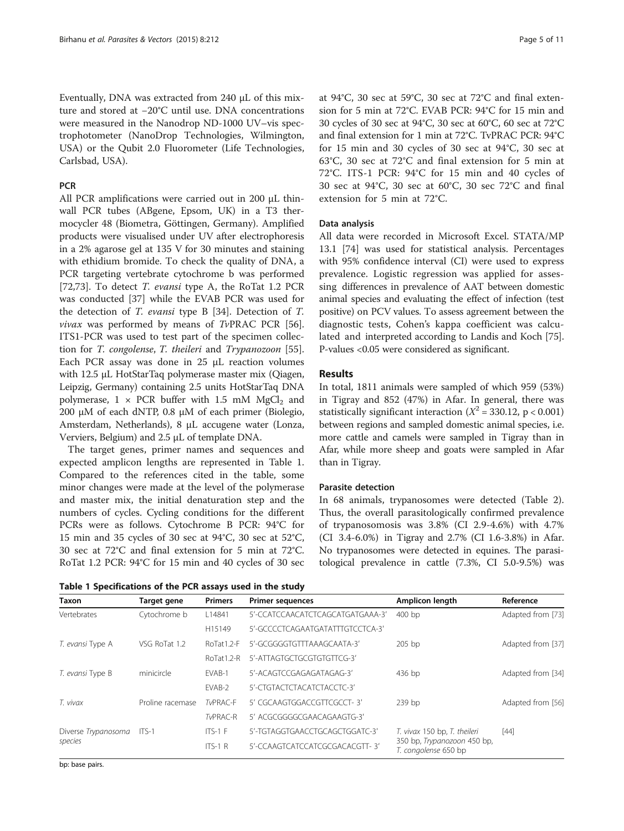Eventually, DNA was extracted from 240 μL of this mixture and stored at −20°C until use. DNA concentrations were measured in the Nanodrop ND-1000 UV–vis spectrophotometer (NanoDrop Technologies, Wilmington, USA) or the Qubit 2.0 Fluorometer (Life Technologies, Carlsbad, USA).

# **PCR**

All PCR amplifications were carried out in 200 μL thinwall PCR tubes (ABgene, Epsom, UK) in a T3 thermocycler 48 (Biometra, Göttingen, Germany). Amplified products were visualised under UV after electrophoresis in a 2% agarose gel at 135 V for 30 minutes and staining with ethidium bromide. To check the quality of DNA, a PCR targeting vertebrate cytochrome b was performed [[72,73\]](#page-10-0). To detect T. evansi type A, the RoTat 1.2 PCR was conducted [[37\]](#page-9-0) while the EVAB PCR was used for the detection of T. evansi type B [\[34\]](#page-9-0). Detection of T. vivax was performed by means of TvPRAC PCR [\[56](#page-9-0)]. ITS1-PCR was used to test part of the specimen collection for T. congolense, T. theileri and Trypanozoon [\[55](#page-9-0)]. Each PCR assay was done in 25 μL reaction volumes with 12.5 μL HotStarTaq polymerase master mix (Qiagen, Leipzig, Germany) containing 2.5 units HotStarTaq DNA polymerase,  $1 \times PCR$  buffer with 1.5 mM MgCl<sub>2</sub> and 200 μM of each dNTP, 0.8 μM of each primer (Biolegio, Amsterdam, Netherlands), 8 μL accugene water (Lonza, Verviers, Belgium) and 2.5 μL of template DNA.

The target genes, primer names and sequences and expected amplicon lengths are represented in Table 1. Compared to the references cited in the table, some minor changes were made at the level of the polymerase and master mix, the initial denaturation step and the numbers of cycles. Cycling conditions for the different PCRs were as follows. Cytochrome B PCR: 94°C for 15 min and 35 cycles of 30 sec at 94°C, 30 sec at 52°C, 30 sec at 72°C and final extension for 5 min at 72°C. RoTat 1.2 PCR: 94°C for 15 min and 40 cycles of 30 sec

|  |  | Table 1 Specifications of the PCR assays used in the study |  |  |  |  |  |  |  |  |  |
|--|--|------------------------------------------------------------|--|--|--|--|--|--|--|--|--|
|--|--|------------------------------------------------------------|--|--|--|--|--|--|--|--|--|

at 94°C, 30 sec at 59°C, 30 sec at 72°C and final extension for 5 min at 72°C. EVAB PCR: 94°C for 15 min and 30 cycles of 30 sec at 94°C, 30 sec at 60°C, 60 sec at 72°C and final extension for 1 min at 72°C. TvPRAC PCR: 94°C for 15 min and 30 cycles of 30 sec at 94°C, 30 sec at 63°C, 30 sec at 72°C and final extension for 5 min at 72°C. ITS-1 PCR: 94°C for 15 min and 40 cycles of 30 sec at 94°C, 30 sec at 60°C, 30 sec 72°C and final extension for 5 min at 72°C.

#### Data analysis

All data were recorded in Microsoft Excel. STATA/MP 13.1 [[74\]](#page-10-0) was used for statistical analysis. Percentages with 95% confidence interval (CI) were used to express prevalence. Logistic regression was applied for assessing differences in prevalence of AAT between domestic animal species and evaluating the effect of infection (test positive) on PCV values. To assess agreement between the diagnostic tests, Cohen's kappa coefficient was calculated and interpreted according to Landis and Koch [[75](#page-10-0)]. P-values <0.05 were considered as significant.

#### Results

In total, 1811 animals were sampled of which 959 (53%) in Tigray and 852 (47%) in Afar. In general, there was statistically significant interaction ( $X^2$  = 330.12, p < 0.001) between regions and sampled domestic animal species, i.e. more cattle and camels were sampled in Tigray than in Afar, while more sheep and goats were sampled in Afar than in Tigray.

# Parasite detection

In 68 animals, trypanosomes were detected (Table [2](#page-5-0)). Thus, the overall parasitologically confirmed prevalence of trypanosomosis was 3.8% (CI 2.9-4.6%) with 4.7% (CI 3.4-6.0%) in Tigray and 2.7% (CI 1.6-3.8%) in Afar. No trypanosomes were detected in equines. The parasitological prevalence in cattle (7.3%, CI 5.0-9.5%) was

| Taxon               | <b>Target gene</b> | <b>Primers</b> | <b>Primer sequences</b>          | Amplicon length                                     | Reference         |  |
|---------------------|--------------------|----------------|----------------------------------|-----------------------------------------------------|-------------------|--|
| Vertebrates         | Cytochrome b       | L14841         | 5'-CCATCCAACATCTCAGCATGATGAAA-3' | $400$ bp                                            | Adapted from [73] |  |
|                     |                    | H15149         | 5'-GCCCCTCAGAATGATATTTGTCCTCA-3' |                                                     |                   |  |
| T. evansi Type A    | VSG RoTat 1.2      | RoTat1.2-F     | 5'-GCGGGGTGTTTAAAGCAATA-3'       | $205$ bp                                            | Adapted from [37] |  |
|                     |                    | RoTat1.2-R     | 5'-ATTAGTGCTGCGTGTGTTCG-3'       |                                                     |                   |  |
| T. evansi Type B    | minicircle         | FVAB-1         | 5'-ACAGTCCGAGAGATAGAG-3'         | 436 bp                                              | Adapted from [34] |  |
|                     |                    | FVAB-2         | 5'-CTGTACTCTACATCTACCTC-3'       |                                                     |                   |  |
| T. vivax            | Proline racemase   | TvPRAC-F       | 5' CGCAAGTGGACCGTTCGCCT-3'       | 239 <sub>bp</sub>                                   | Adapted from [56] |  |
|                     |                    | TvPRAC-R       | 5' ACGCGGGGCGAACAGAAGTG-3'       |                                                     |                   |  |
| Diverse Trypanosoma | $ITS-1$            | $ITS-1 F$      | 5'-TGTAGGTGAACCTGCAGCTGGATC-3'   | T. vivax 150 bp. T. theileri                        | [44]              |  |
| species             |                    | $ITS-1 R$      | 5'-CCAAGTCATCCATCGCGACACGTT-3'   | 350 bp, Trypanozoon 450 bp,<br>T. congolense 650 bp |                   |  |

bp: base pairs.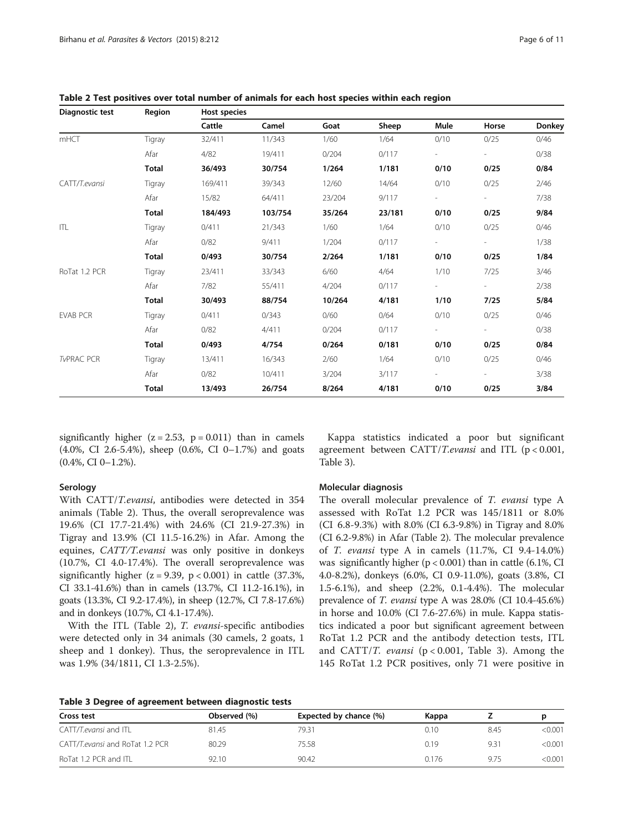| Diagnostic test   | Region       | Host species |         |        |        |                          |                          |        |
|-------------------|--------------|--------------|---------|--------|--------|--------------------------|--------------------------|--------|
|                   |              | Cattle       | Camel   | Goat   | Sheep  | Mule                     | Horse                    | Donkey |
| mHCT              | Tigray       | 32/411       | 11/343  | 1/60   | 1/64   | 0/10                     | 0/25                     | 0/46   |
|                   | Afar         | 4/82         | 19/411  | 0/204  | 0/117  | $\overline{\phantom{a}}$ | $\overline{\phantom{a}}$ | 0/38   |
|                   | <b>Total</b> | 36/493       | 30/754  | 1/264  | 1/181  | 0/10                     | 0/25                     | 0/84   |
| CATT/T.evansi     | Tigray       | 169/411      | 39/343  | 12/60  | 14/64  | 0/10                     | 0/25                     | 2/46   |
|                   | Afar         | 15/82        | 64/411  | 23/204 | 9/117  | $\sim$                   | $\sim$                   | 7/38   |
|                   | <b>Total</b> | 184/493      | 103/754 | 35/264 | 23/181 | 0/10                     | 0/25                     | 9/84   |
| TL                | Tigray       | 0/411        | 21/343  | 1/60   | 1/64   | 0/10                     | 0/25                     | 0/46   |
|                   | Afar         | 0/82         | 9/411   | 1/204  | 0/117  | $\sim$                   | $ \,$                    | 1/38   |
|                   | <b>Total</b> | 0/493        | 30/754  | 2/264  | 1/181  | 0/10                     | 0/25                     | 1/84   |
| RoTat 1.2 PCR     | Tigray       | 23/411       | 33/343  | 6/60   | 4/64   | 1/10                     | 7/25                     | 3/46   |
|                   | Afar         | 7/82         | 55/411  | 4/204  | 0/117  | $\sim$                   | $ \,$                    | 2/38   |
|                   | <b>Total</b> | 30/493       | 88/754  | 10/264 | 4/181  | 1/10                     | 7/25                     | 5/84   |
| <b>EVAB PCR</b>   | Tigray       | 0/411        | 0/343   | 0/60   | 0/64   | 0/10                     | 0/25                     | 0/46   |
|                   | Afar         | 0/82         | 4/411   | 0/204  | 0/117  | $\sim$                   | $\overline{\phantom{a}}$ | 0/38   |
|                   | <b>Total</b> | 0/493        | 4/754   | 0/264  | 0/181  | 0/10                     | 0/25                     | 0/84   |
| <b>TVPRAC PCR</b> | Tigray       | 13/411       | 16/343  | 2/60   | 1/64   | 0/10                     | 0/25                     | 0/46   |
|                   | Afar         | 0/82         | 10/411  | 3/204  | 3/117  | $\overline{\phantom{a}}$ | $\overline{\phantom{a}}$ | 3/38   |
|                   | <b>Total</b> | 13/493       | 26/754  | 8/264  | 4/181  | 0/10                     | 0/25                     | 3/84   |

<span id="page-5-0"></span>Table 2 Test positives over total number of animals for each host species within each region

significantly higher  $(z = 2.53, p = 0.011)$  than in camels (4.0%, CI 2.6-5.4%), sheep (0.6%, CI 0–1.7%) and goats  $(0.4\%, \text{CI } 0-1.2\%).$ 

#### Serology

With CATT/T.evansi, antibodies were detected in 354 animals (Table 2). Thus, the overall seroprevalence was 19.6% (CI 17.7-21.4%) with 24.6% (CI 21.9-27.3%) in Tigray and 13.9% (CI 11.5-16.2%) in Afar. Among the equines, CATT/T.evansi was only positive in donkeys (10.7%, CI 4.0-17.4%). The overall seroprevalence was significantly higher  $(z = 9.39, p < 0.001)$  in cattle  $(37.3\%$ , CI 33.1-41.6%) than in camels (13.7%, CI 11.2-16.1%), in goats (13.3%, CI 9.2-17.4%), in sheep (12.7%, CI 7.8-17.6%) and in donkeys (10.7%, CI 4.1-17.4%).

With the ITL (Table 2), T. evansi-specific antibodies were detected only in 34 animals (30 camels, 2 goats, 1 sheep and 1 donkey). Thus, the seroprevalence in ITL was 1.9% (34/1811, CI 1.3-2.5%).

Kappa statistics indicated a poor but significant agreement between CATT/T.evansi and ITL  $(p < 0.001,$ Table 3).

# Molecular diagnosis

The overall molecular prevalence of T. evansi type A assessed with RoTat 1.2 PCR was 145/1811 or 8.0% (CI 6.8-9.3%) with 8.0% (CI 6.3-9.8%) in Tigray and 8.0% (CI 6.2-9.8%) in Afar (Table 2). The molecular prevalence of T. evansi type A in camels (11.7%, CI 9.4-14.0%) was significantly higher ( $p < 0.001$ ) than in cattle (6.1%, CI 4.0-8.2%), donkeys (6.0%, CI 0.9-11.0%), goats (3.8%, CI 1.5-6.1%), and sheep (2.2%, 0.1-4.4%). The molecular prevalence of T. evansi type A was 28.0% (CI 10.4-45.6%) in horse and 10.0% (CI 7.6-27.6%) in mule. Kappa statistics indicated a poor but significant agreement between RoTat 1.2 PCR and the antibody detection tests, ITL and CATT/T. evansi ( $p < 0.001$ , Table 3). Among the 145 RoTat 1.2 PCR positives, only 71 were positive in

|  | Table 3 Degree of agreement between diagnostic tests |  |  |
|--|------------------------------------------------------|--|--|
|  |                                                      |  |  |

| Cross test                      | Observed (%) | Expected by chance (%) | Kappa |      |         |
|---------------------------------|--------------|------------------------|-------|------|---------|
| CATT/T.evansi and ITL           | 81.45        | 79.31                  | 0.10  | 8.45 | < 0.001 |
| CATT/T.evansi and RoTat 1.2 PCR | 80.29        | 75.58                  | 0.19  | 9.31 | < 0.001 |
| RoTat 1.2 PCR and ITL           | 92.10        | 90.42                  | 0.176 | 9.75 | < 0.001 |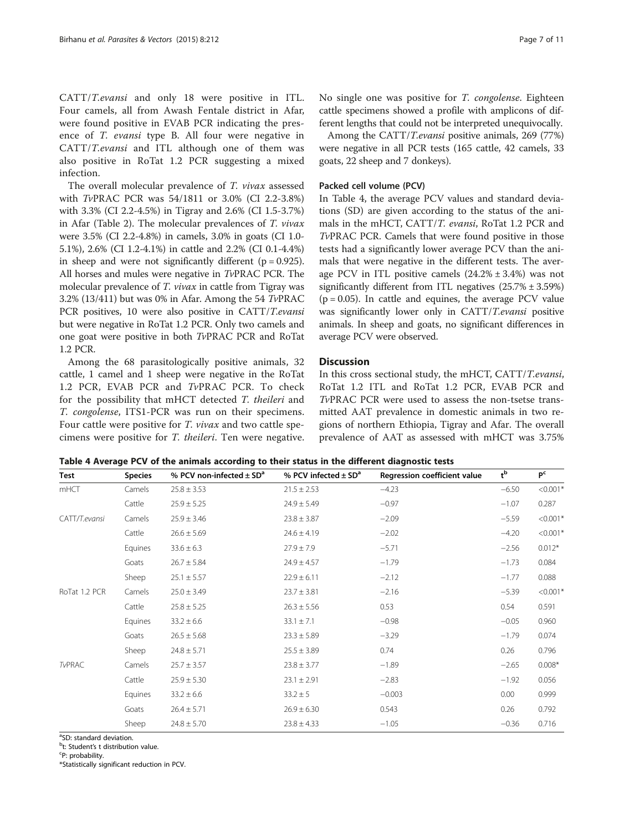CATT/T.evansi and only 18 were positive in ITL. Four camels, all from Awash Fentale district in Afar, were found positive in EVAB PCR indicating the presence of T. evansi type B. All four were negative in CATT/T.evansi and ITL although one of them was also positive in RoTat 1.2 PCR suggesting a mixed infection.

The overall molecular prevalence of T. vivax assessed with TvPRAC PCR was 54/1811 or 3.0% (CI 2.2-3.8%) with 3.3% (CI 2.2-4.5%) in Tigray and 2.6% (CI 1.5-3.7%) in Afar (Table [2\)](#page-5-0). The molecular prevalences of T. vivax were 3.5% (CI 2.2-4.8%) in camels, 3.0% in goats (CI 1.0- 5.1%), 2.6% (CI 1.2-4.1%) in cattle and 2.2% (CI 0.1-4.4%) in sheep and were not significantly different ( $p = 0.925$ ). All horses and mules were negative in TvPRAC PCR. The molecular prevalence of T. vivax in cattle from Tigray was 3.2% (13/411) but was 0% in Afar. Among the 54 TvPRAC PCR positives, 10 were also positive in CATT/T.evansi but were negative in RoTat 1.2 PCR. Only two camels and one goat were positive in both TvPRAC PCR and RoTat 1.2 PCR.

Among the 68 parasitologically positive animals, 32 cattle, 1 camel and 1 sheep were negative in the RoTat 1.2 PCR, EVAB PCR and TvPRAC PCR. To check for the possibility that mHCT detected T. theileri and T. congolense, ITS1-PCR was run on their specimens. Four cattle were positive for T. vivax and two cattle specimens were positive for T. theileri. Ten were negative.

Among the CATT/T.evansi positive animals, 269 (77%) were negative in all PCR tests (165 cattle, 42 camels, 33 goats, 22 sheep and 7 donkeys).

#### Packed cell volume (PCV)

In Table 4, the average PCV values and standard deviations (SD) are given according to the status of the animals in the mHCT, CATT/T. evansi, RoTat 1.2 PCR and TvPRAC PCR. Camels that were found positive in those tests had a significantly lower average PCV than the animals that were negative in the different tests. The average PCV in ITL positive camels  $(24.2% \pm 3.4%)$  was not significantly different from ITL negatives  $(25.7% \pm 3.59%)$  $(p = 0.05)$ . In cattle and equines, the average PCV value was significantly lower only in CATT/T.evansi positive animals. In sheep and goats, no significant differences in average PCV were observed.

# **Discussion**

In this cross sectional study, the mHCT, CATT/T.evansi, RoTat 1.2 ITL and RoTat 1.2 PCR, EVAB PCR and TvPRAC PCR were used to assess the non-tsetse transmitted AAT prevalence in domestic animals in two regions of northern Ethiopia, Tigray and Afar. The overall prevalence of AAT as assessed with mHCT was 3.75%

| <b>Test</b>   | <b>Species</b> | % PCV non-infected $\pm$ SD <sup>a</sup> | % PCV infected $\pm$ SD <sup>a</sup> | Regression coefficient value | $t^b$   | P <sup>c</sup> |
|---------------|----------------|------------------------------------------|--------------------------------------|------------------------------|---------|----------------|
| mHCT          | Camels         | $25.8 \pm 3.53$                          | $21.5 \pm 2.53$                      | $-4.23$                      | $-6.50$ | $< 0.001*$     |
|               | Cattle         | $25.9 \pm 5.25$                          | $24.9 \pm 5.49$                      | $-0.97$                      | $-1.07$ | 0.287          |
| CATT/T.evansi | Camels         | $25.9 \pm 3.46$                          | $23.8 \pm 3.87$                      | $-2.09$                      | $-5.59$ | $< 0.001*$     |
|               | Cattle         | $26.6 \pm 5.69$                          | $24.6 \pm 4.19$                      | $-2.02$                      | $-4.20$ | $< 0.001*$     |
|               | Equines        | $33.6 \pm 6.3$                           | $27.9 \pm 7.9$                       | $-5.71$                      | $-2.56$ | $0.012*$       |
|               | Goats          | $26.7 \pm 5.84$                          | $24.9 \pm 4.57$                      | $-1.79$                      | $-1.73$ | 0.084          |
|               | Sheep          | $25.1 \pm 5.57$                          | $22.9 \pm 6.11$                      | $-2.12$                      | $-1.77$ | 0.088          |
| RoTat 1.2 PCR | Camels         | $25.0 \pm 3.49$                          | $23.7 \pm 3.81$                      | $-2.16$                      | $-5.39$ | $< 0.001*$     |
|               | Cattle         | $25.8 \pm 5.25$                          | $26.3 \pm 5.56$                      | 0.53                         | 0.54    | 0.591          |
|               | Equines        | $33.2 \pm 6.6$                           | $33.1 \pm 7.1$                       | $-0.98$                      | $-0.05$ | 0.960          |
|               | Goats          | $26.5 \pm 5.68$                          | $23.3 \pm 5.89$                      | $-3.29$                      | $-1.79$ | 0.074          |
|               | Sheep          | $24.8 \pm 5.71$                          | $25.5 \pm 3.89$                      | 0.74                         | 0.26    | 0.796          |
| <b>TvPRAC</b> | Camels         | $25.7 \pm 3.57$                          | $23.8 \pm 3.77$                      | $-1.89$                      | $-2.65$ | $0.008*$       |
|               | Cattle         | $25.9 \pm 5.30$                          | $23.1 \pm 2.91$                      | $-2.83$                      | $-1.92$ | 0.056          |
|               | Equines        | $33.2 \pm 6.6$                           | $33.2 \pm 5$                         | $-0.003$                     | 0.00    | 0.999          |
|               | Goats          | $26.4 \pm 5.71$                          | $26.9 \pm 6.30$                      | 0.543                        | 0.26    | 0.792          |
|               | Sheep          | $24.8 \pm 5.70$                          | $23.8 \pm 4.33$                      | $-1.05$                      | $-0.36$ | 0.716          |

<sup>a</sup>SD: standard deviation.

<sup>b</sup>t: Student's t distribution value.<br><sup>c</sup>P: probability

P: probability.

\*Statistically significant reduction in PCV.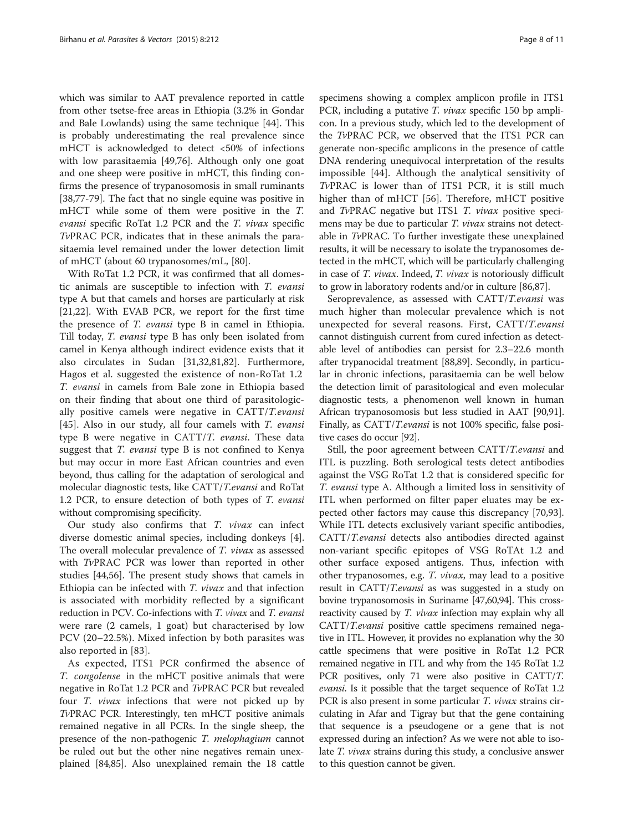which was similar to AAT prevalence reported in cattle from other tsetse-free areas in Ethiopia (3.2% in Gondar and Bale Lowlands) using the same technique [[44\]](#page-9-0). This is probably underestimating the real prevalence since mHCT is acknowledged to detect <50% of infections with low parasitaemia [\[49,](#page-9-0)[76\]](#page-10-0). Although only one goat and one sheep were positive in mHCT, this finding confirms the presence of trypanosomosis in small ruminants [[38,](#page-9-0)[77-79\]](#page-10-0). The fact that no single equine was positive in mHCT while some of them were positive in the T. evansi specific RoTat 1.2 PCR and the T. vivax specific TvPRAC PCR, indicates that in these animals the parasitaemia level remained under the lower detection limit of mHCT (about 60 trypanosomes/mL, [\[80\]](#page-10-0).

With RoTat 1.2 PCR, it was confirmed that all domestic animals are susceptible to infection with T. evansi type A but that camels and horses are particularly at risk [[21,22\]](#page-9-0). With EVAB PCR, we report for the first time the presence of T. evansi type B in camel in Ethiopia. Till today, T. evansi type B has only been isolated from camel in Kenya although indirect evidence exists that it also circulates in Sudan [[31,32,](#page-9-0)[81,82](#page-10-0)]. Furthermore, Hagos et al. suggested the existence of non-RoTat 1.2 T. evansi in camels from Bale zone in Ethiopia based on their finding that about one third of parasitologically positive camels were negative in CATT/T.evansi [[45\]](#page-9-0). Also in our study, all four camels with T. evansi type B were negative in  $CATT/T$ . evansi. These data suggest that *T. evansi* type *B* is not confined to Kenya but may occur in more East African countries and even beyond, thus calling for the adaptation of serological and molecular diagnostic tests, like CATT/T.evansi and RoTat 1.2 PCR, to ensure detection of both types of T. evansi without compromising specificity.

Our study also confirms that T. vivax can infect diverse domestic animal species, including donkeys [\[4](#page-8-0)]. The overall molecular prevalence of T. vivax as assessed with TvPRAC PCR was lower than reported in other studies [[44,56\]](#page-9-0). The present study shows that camels in Ethiopia can be infected with T. vivax and that infection is associated with morbidity reflected by a significant reduction in PCV. Co-infections with *T. vivax* and *T. evansi* were rare (2 camels, 1 goat) but characterised by low PCV (20–22.5%). Mixed infection by both parasites was also reported in [[83\]](#page-10-0).

As expected, ITS1 PCR confirmed the absence of T. congolense in the mHCT positive animals that were negative in RoTat 1.2 PCR and TvPRAC PCR but revealed four T. vivax infections that were not picked up by TvPRAC PCR. Interestingly, ten mHCT positive animals remained negative in all PCRs. In the single sheep, the presence of the non-pathogenic T. melophagium cannot be ruled out but the other nine negatives remain unexplained [\[84,85](#page-10-0)]. Also unexplained remain the 18 cattle

specimens showing a complex amplicon profile in ITS1 PCR, including a putative *T. vivax* specific 150 bp amplicon. In a previous study, which led to the development of the TvPRAC PCR, we observed that the ITS1 PCR can generate non-specific amplicons in the presence of cattle DNA rendering unequivocal interpretation of the results impossible [\[44](#page-9-0)]. Although the analytical sensitivity of TvPRAC is lower than of ITS1 PCR, it is still much higher than of mHCT [[56\]](#page-9-0). Therefore, mHCT positive and TvPRAC negative but ITS1 T. vivax positive specimens may be due to particular T. vivax strains not detectable in TvPRAC. To further investigate these unexplained results, it will be necessary to isolate the trypanosomes detected in the mHCT, which will be particularly challenging in case of T. vivax. Indeed, T. vivax is notoriously difficult to grow in laboratory rodents and/or in culture [[86,87](#page-10-0)].

Seroprevalence, as assessed with CATT/T.evansi was much higher than molecular prevalence which is not unexpected for several reasons. First, CATT/T.evansi cannot distinguish current from cured infection as detectable level of antibodies can persist for 2.3–22.6 month after trypanocidal treatment [[88,89\]](#page-10-0). Secondly, in particular in chronic infections, parasitaemia can be well below the detection limit of parasitological and even molecular diagnostic tests, a phenomenon well known in human African trypanosomosis but less studied in AAT [\[90,91](#page-10-0)]. Finally, as CATT/T.evansi is not 100% specific, false positive cases do occur [[92](#page-10-0)].

Still, the poor agreement between CATT/T.evansi and ITL is puzzling. Both serological tests detect antibodies against the VSG RoTat 1.2 that is considered specific for T. evansi type A. Although a limited loss in sensitivity of ITL when performed on filter paper eluates may be expected other factors may cause this discrepancy [\[70,93](#page-10-0)]. While ITL detects exclusively variant specific antibodies, CATT/T.evansi detects also antibodies directed against non-variant specific epitopes of VSG RoTAt 1.2 and other surface exposed antigens. Thus, infection with other trypanosomes, e.g. T. vivax, may lead to a positive result in CATT/T.evansi as was suggested in a study on bovine trypanosomosis in Suriname [[47](#page-9-0)[,60,94\]](#page-10-0). This crossreactivity caused by T. *vivax* infection may explain why all CATT/T.evansi positive cattle specimens remained negative in ITL. However, it provides no explanation why the 30 cattle specimens that were positive in RoTat 1.2 PCR remained negative in ITL and why from the 145 RoTat 1.2 PCR positives, only 71 were also positive in CATT/T. evansi. Is it possible that the target sequence of RoTat 1.2 PCR is also present in some particular T. vivax strains circulating in Afar and Tigray but that the gene containing that sequence is a pseudogene or a gene that is not expressed during an infection? As we were not able to isolate T. vivax strains during this study, a conclusive answer to this question cannot be given.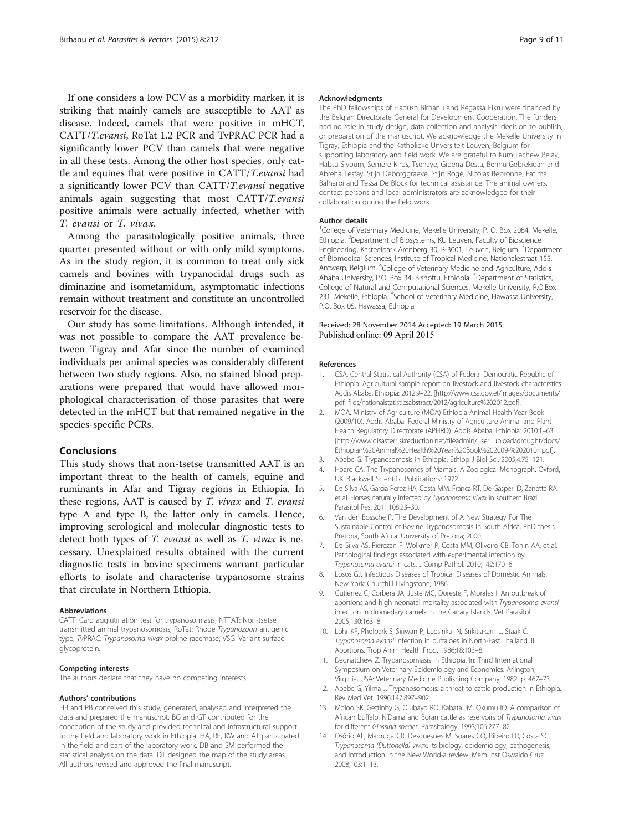<span id="page-8-0"></span>If one considers a low PCV as a morbidity marker, it is striking that mainly camels are susceptible to AAT as disease. Indeed, camels that were positive in mHCT, CATT/T.evansi, RoTat 1.2 PCR and TvPRAC PCR had a significantly lower PCV than camels that were negative in all these tests. Among the other host species, only cattle and equines that were positive in CATT/T.evansi had a significantly lower PCV than CATT/T.evansi negative animals again suggesting that most CATT/T.evansi positive animals were actually infected, whether with T. evansi or T. vivax.

Among the parasitologically positive animals, three quarter presented without or with only mild symptoms. As in the study region, it is common to treat only sick camels and bovines with trypanocidal drugs such as diminazine and isometamidum, asymptomatic infections remain without treatment and constitute an uncontrolled reservoir for the disease.

Our study has some limitations. Although intended, it was not possible to compare the AAT prevalence between Tigray and Afar since the number of examined individuals per animal species was considerably different between two study regions. Also, no stained blood preparations were prepared that would have allowed morphological characterisation of those parasites that were detected in the mHCT but that remained negative in the species-specific PCRs.

## Conclusions

This study shows that non-tsetse transmitted AAT is an important threat to the health of camels, equine and ruminants in Afar and Tigray regions in Ethiopia. In these regions,  $AAT$  is caused by  $T.$  vivax and  $T.$  evansi type A and type B, the latter only in camels. Hence, improving serological and molecular diagnostic tests to detect both types of T. evansi as well as T. vivax is necessary. Unexplained results obtained with the current diagnostic tests in bovine specimens warrant particular efforts to isolate and characterise trypanosome strains that circulate in Northern Ethiopia.

#### Abbreviations

CATT: Card agglutination test for trypanosomiasis; NTTAT: Non-tsetse transmitted animal trypanosomosis; RoTat: Rhode Trypanozoon antigenic type; TvPRAC: Trypanosoma vivax proline racemase; VSG: Variant surface glycoprotein.

#### Competing interests

The authors declare that they have no competing interests.

#### Authors' contributions

HB and PB conceived this study, generated, analysed and interpreted the data and prepared the manuscript. BG and GT contributed for the conception of the study and provided technical and infrastructural support to the field and laboratory work in Ethiopia. HA, RF, KW and AT participated in the field and part of the laboratory work. DB and SM performed the statistical analysis on the data. DT designed the map of the study areas. All authors revised and approved the final manuscript.

#### Acknowledgments

The PhD fellowships of Hadush Birhanu and Regassa Fikru were financed by the Belgian Directorate General for Development Cooperation. The funders had no role in study design, data collection and analysis, decision to publish, or preparation of the manuscript. We acknowledge the Mekelle University in Tigray, Ethiopia and the Katholieke Unversiteit Leuven, Belgium for supporting laboratory and field work. We are grateful to Kumulachew Belay, Habtu Siyoum, Semere Kiros, Tsehaye, Gidena Desta, Berihu Gebrekidan and Abreha Tesfay, Stijn Deborggraeve, Stijn Rogé, Nicolas Bebronne, Fatima Balharbi and Tessa De Block for technical assistance. The animal owners, contact persons and local administrators are acknowledged for their collaboration during the field work.

#### Author details

<sup>1</sup>College of Veterinary Medicine, Mekelle University, P. O. Box 2084, Mekelle Ethiopia. <sup>2</sup> Department of Biosystems, KU Leuven, Faculty of Bioscience Engineering, Kasteelpark Arenberg 30, B-3001, Leuven, Belgium. <sup>3</sup>Department of Biomedical Sciences, Institute of Tropical Medicine, Nationalestraat 155, Antwerp, Belgium. <sup>4</sup>College of Veterinary Medicine and Agriculture, Addis Ababa University, P.O. Box 34, Bishoftu, Ethiopia. <sup>5</sup>Department of Statistics College of Natural and Computational Sciences, Mekelle University, P.O.Box 231, Mekelle, Ethiopia. <sup>6</sup>School of Veterinary Medicine, Hawassa University, P.O. Box 05, Hawassa, Ethiopia.

#### Received: 28 November 2014 Accepted: 19 March 2015 Published online: 09 April 2015

#### References

- 1. CSA. Central Statistical Authority (CSA) of Federal Democratic Republic of Ethiopia: Agricultural sample report on livestock and livestock characterstics. Addis Ababa, Ethiopia: 2012:9–22. [[http://www.csa.gov.et/images/documents/](http://www.csa.gov.et/images/documents/pdf_files/nationalstatisticsabstract/2012/agriculture%202012.pdf) [pdf\\_files/nationalstatisticsabstract/2012/agriculture%202012.pdf](http://www.csa.gov.et/images/documents/pdf_files/nationalstatisticsabstract/2012/agriculture%202012.pdf)].
- 2. MOA. Ministry of Agriculture (MOA) Ethiopia Animal Health Year Book (2009/10). Addis Ababa: Federal Ministry of Agriculture Animal and Plant Health Regulatory Directorate (APHRD). Addis Ababa, Ethiopia: 2010:1–63. [[http://www.disasterriskreduction.net/fileadmin/user\\_upload/drought/docs/](http://www.disasterriskreduction.net/fileadmin/user_upload/drought/docs/Ethiopian%20Animal%20Health%20Year%20Book%202009-%2020101.pdf) [Ethiopian%20Animal%20Health%20Year%20Book%202009-%2020101.pdf\]](http://www.disasterriskreduction.net/fileadmin/user_upload/drought/docs/Ethiopian%20Animal%20Health%20Year%20Book%202009-%2020101.pdf).
- 3. Abebe G. Trypanosomosis in Ethiopia. Ethiop J Biol Sci. 2005;4:75–121.
- 4. Hoare CA. The Trypanosomes of Mamals. A Zoological Monograph. Oxford, UK: Blackwell Scientific Publications; 1972.
- 5. Da Silva AS, Garcia Perez HA, Costa MM, Franca RT, De Gasperi D, Zanette RA, et al. Horses naturally infected by Trypanosoma vivax in southern Brazil. Parasitol Res. 2011;108:23–30.
- 6. Van den Bossche P. The Development of A New Strategy For The Sustainable Control of Bovine Trypanosomosis In South Africa, PhD thesis. Pretoria, South Africa: University of Pretoria; 2000.
- 7. Da Silva AS, Pierezan F, Wolkmer P, Costa MM, Oliveiro CB, Tonin AA, et al. Pathological findings associated with experimental infection by Trypanosoma evansi in cats. J Comp Pathol. 2010;142:170–6.
- 8. Losos GJ. Infectious Diseases of Tropical Diseases of Domestic Animals. New York: Churchill Livingstone; 1986.
- 9. Gutierrez C, Corbera JA, Juste MC, Doreste F, Morales I. An outbreak of abortions and high neonatal mortality associated with Trypanosoma evansi infection in dromedary camels in the Canary Islands. Vet Parasitol. 2005;130:163–8.
- 10. Lohr KF, Pholpark S, Siriwan P, Leesirikul N, Srikitjakarn L, Staak C. Trypanosoma evansi infection in buffaloes in North-East Thailand. II. Abortions. Trop Anim Health Prod. 1986;18:103–8.
- 11. Dagnatchew Z. Trypanosomiasis in Ethiopia. In: Third International Symposium on Veterinary Epidemiology and Economics. Arlington, Virginia, USA: Veterinary Medicine Publishing Company; 1982. p. 467–73.
- 12. Abebe G, Yilma J. Trypanosomosis: a threat to cattle production in Ethiopia. Rev Med Vet. 1996;147:897–902.
- 13. Moloo SK, Gettinby G, Olubayo RO, Kabata JM, Okumu IO. A comparison of African buffalo, N'Dama and Boran cattle as reservoirs of Trypanosoma vivax for different Glossina species. Parasitology. 1993;106:277–82.
- 14. Osório AL, Madruga CR, Desquesnes M, Soares CO, Ribeiro LR, Costa SC. Trypanosoma (Duttonella) vivax: its biology, epidemiology, pathogenesis, and introduction in the New World-a review. Mem Inst Oswaldo Cruz. 2008;103:1–13.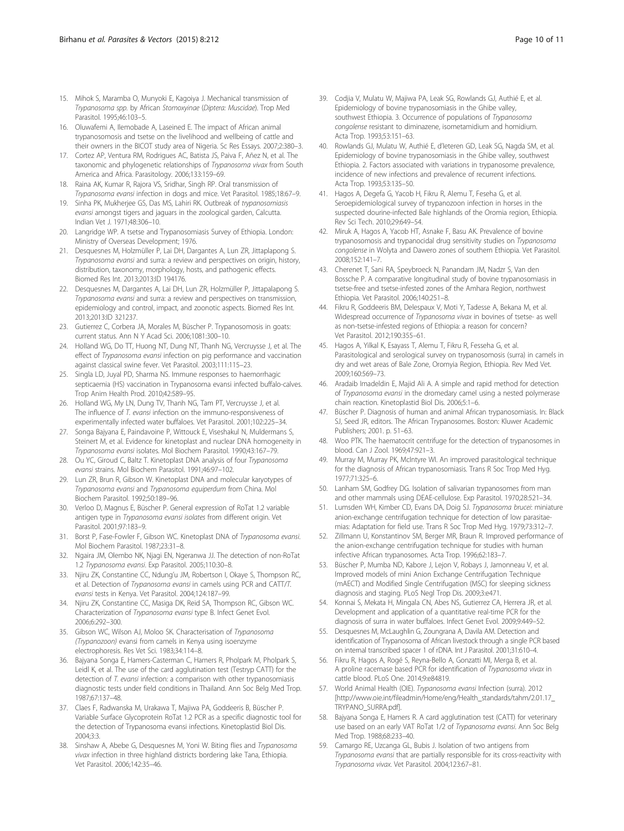- <span id="page-9-0"></span>15. Mihok S, Maramba O, Munyoki E, Kagoiya J. Mechanical transmission of Trypanosoma spp. by African Stomoxyinae (Diptera: Muscidae). Trop Med Parasitol. 1995;46:103–5.
- 16. Oluwafemi A, Ilemobade A, Laseined E. The impact of African animal trypanosomosis and tsetse on the livelihood and wellbeing of cattle and their owners in the BICOT study area of Nigeria. Sc Res Essays. 2007;2:380–3.
- 17. Cortez AP, Ventura RM, Rodrigues AC, Batista JS, Paiva F, Añez N, et al. The taxonomic and phylogenetic relationships of Trypanosoma vivax from South America and Africa. Parasitology. 2006;133:159–69.
- 18. Raina AK, Kumar R, Rajora VS, Sridhar, Singh RP. Oral transmission of Trypanosoma evansi infection in dogs and mice. Vet Parasitol. 1985;18:67–9.
- 19. Sinha PK, Mukherjee GS, Das MS, Lahiri RK. Outbreak of trypanosomiasis evansi amongst tigers and jaguars in the zoological garden, Calcutta. Indian Vet J. 1971;48:306–10.
- 20. Langridge WP. A tsetse and Trypanosomiasis Survey of Ethiopia. London: Ministry of Overseas Development; 1976.
- 21. Desquesnes M, Holzmüller P, Lai DH, Dargantes A, Lun ZR, Jittaplapong S. Trypanosoma evansi and surra: a review and perspectives on origin, history, distribution, taxonomy, morphology, hosts, and pathogenic effects. Biomed Res Int. 2013;2013:ID 194176.
- 22. Desquesnes M, Dargantes A, Lai DH, Lun ZR, Holzmüller P, Jittapalapong S. Trypanosoma evansi and surra: a review and perspectives on transmission, epidemiology and control, impact, and zoonotic aspects. Biomed Res Int. 2013;2013:ID 321237.
- 23. Gutierrez C, Corbera JA, Morales M, Büscher P. Trypanosomosis in goats: current status. Ann N Y Acad Sci. 2006;1081:300–10.
- 24. Holland WG, Do TT, Huong NT, Dung NT, Thanh NG, Vercruysse J, et al. The effect of Trypanosoma evansi infection on pig performance and vaccination against classical swine fever. Vet Parasitol. 2003;111:115–23.
- 25. Singla LD, Juyal PD, Sharma NS. Immune responses to haemorrhagic septicaemia (HS) vaccination in Trypanosoma evansi infected buffalo-calves. Trop Anim Health Prod. 2010;42:589–95.
- 26. Holland WG, My LN, Dung TV, Thanh NG, Tam PT, Vercruysse J, et al. The influence of T. evansi infection on the immuno-responsiveness of experimentally infected water buffaloes. Vet Parasitol. 2001;102:225–34.
- 27. Songa Bajyana E, Paindavoine P, Wittouck E, Viseshakul N, Muldermans S, Steinert M, et al. Evidence for kinetoplast and nuclear DNA homogeneity in Trypanosoma evansi isolates. Mol Biochem Parasitol. 1990;43:167–79.
- 28. Ou YC, Giroud C, Baltz T. Kinetoplast DNA analysis of four Trypanosoma evansi strains. Mol Biochem Parasitol. 1991;46:97–102.
- 29. Lun ZR, Brun R, Gibson W. Kinetoplast DNA and molecular karyotypes of Trypanosoma evansi and Trypanosoma equiperdum from China. Mol Biochem Parasitol. 1992;50:189–96.
- 30. Verloo D, Magnus E, Büscher P. General expression of RoTat 1.2 variable antigen type in Trypanosoma evansi isolates from different origin. Vet Parasitol. 2001;97:183–9.
- 31. Borst P, Fase-Fowler F, Gibson WC. Kinetoplast DNA of Trypanosoma evansi. Mol Biochem Parasitol. 1987;23:31–8.
- 32. Ngaira JM, Olembo NK, Njagi EN, Ngeranwa JJ. The detection of non-RoTat 1.2 Trypanosoma evansi. Exp Parasitol. 2005;110:30–8.
- 33. Njiru ZK, Constantine CC, Ndung'u JM, Robertson I, Okaye S, Thompson RC, et al. Detection of Trypanosoma evansi in camels using PCR and CATT/T. evansi tests in Kenya. Vet Parasitol. 2004;124:187–99.
- 34. Njiru ZK, Constantine CC, Masiga DK, Reid SA, Thompson RC, Gibson WC. Characterization of Trypanosoma evansi type B. Infect Genet Evol. 2006;6:292–300.
- 35. Gibson WC, Wilson AJ, Moloo SK. Characterisation of Trypanosoma (Trypanozoon) evansi from camels in Kenya using isoenzyme electrophoresis. Res Vet Sci. 1983;34:114–8.
- 36. Bajyana Songa E, Hamers-Casterman C, Hamers R, Pholpark M, Pholpark S, Leidl K, et al. The use of the card agglutination test (Testryp CATT) for the detection of T. evansi infection: a comparison with other trypanosomiasis diagnostic tests under field conditions in Thailand. Ann Soc Belg Med Trop. 1987;67:137–48.
- 37. Claes F, Radwanska M, Urakawa T, Majiwa PA, Goddeeris B, Büscher P. Variable Surface Glycoprotein RoTat 1.2 PCR as a specific diagnostic tool for the detection of Trypanosoma evansi infections. Kinetoplastid Biol Dis. 2004;3:3.
- 38. Sinshaw A, Abebe G, Desquesnes M, Yoni W. Biting flies and Trypanosoma vivax infection in three highland districts bordering lake Tana, Ethiopia. Vet Parasitol. 2006;142:35–46.
- 39. Codjia V, Mulatu W, Majiwa PA, Leak SG, Rowlands GJ, Authié E, et al. Epidemiology of bovine trypanosomiasis in the Ghibe valley, southwest Ethiopia. 3. Occurrence of populations of Trypanosoma congolense resistant to diminazene, isometamidium and homidium. Acta Trop. 1993;53:151–63.
- 40. Rowlands GJ, Mulatu W, Authié E, d'Ieteren GD, Leak SG, Nagda SM, et al. Epidemiology of bovine trypanosomiasis in the Ghibe valley, southwest Ethiopia. 2. Factors associated with variations in trypanosome prevalence, incidence of new infections and prevalence of recurrent infections. Acta Trop. 1993;53:135–50.
- 41. Hagos A, Degefa G, Yacob H, Fikru R, Alemu T, Feseha G, et al. Seroepidemiological survey of trypanozoon infection in horses in the suspected dourine-infected Bale highlands of the Oromia region, Ethiopia. Rev Sci Tech. 2010;29:649–54.
- 42. Miruk A, Hagos A, Yacob HT, Asnake F, Basu AK. Prevalence of bovine trypanosomosis and trypanocidal drug sensitivity studies on Trypanosoma congolense in Wolyta and Dawero zones of southern Ethiopia. Vet Parasitol. 2008;152:141–7.
- 43. Cherenet T, Sani RA, Speybroeck N, Panandam JM, Nadzr S, Van den Bossche P. A comparative longitudinal study of bovine trypanosomiasis in tsetse-free and tsetse-infested zones of the Amhara Region, northwest Ethiopia. Vet Parasitol. 2006;140:251–8.
- 44. Fikru R, Goddeeris BM, Delespaux V, Moti Y, Tadesse A, Bekana M, et al. Widespread occurrence of Trypanosoma vivax in bovines of tsetse- as well as non-tsetse-infested regions of Ethiopia: a reason for concern? Vet Parasitol. 2012;190:355–61.
- 45. Hagos A, Yilkal K, Esayass T, Alemu T, Fikru R, Fesseha G, et al. Parasitological and serological survey on trypanosomosis (surra) in camels in dry and wet areas of Bale Zone, Oromyia Region, Ethiopia. Rev Med Vet. 2009;160:569–73.
- 46. Aradaib Imadeldin E, Majid Ali A. A simple and rapid method for detection of Trypanosoma evansi in the dromedary camel using a nested polymerase chain reaction. Kinetoplastid Biol Dis. 2006;5:1–6.
- 47. Büscher P. Diagnosis of human and animal African trypanosomiasis. In: Black SJ, Seed JR, editors. The African Trypanosomes. Boston: Kluwer Academic Publishers; 2001. p. 51–63.
- 48. Woo PTK. The haematocrit centrifuge for the detection of trypanosomes in blood. Can J Zool. 1969;47:921–3.
- 49. Murray M, Murray PK, McIntyre WI. An improved parasitological technique for the diagnosis of African trypanosomiasis. Trans R Soc Trop Med Hyg. 1977;71:325–6.
- 50. Lanham SM, Godfrey DG. Isolation of salivarian trypanosomes from man and other mammals using DEAE-cellulose. Exp Parasitol. 1970;28:521–34.
- 51. Lumsden WH, Kimber CD, Evans DA, Doig SJ. Trypanosoma brucei: miniature anion-exchange centrifugation technique for detection of low parasitaemias: Adaptation for field use. Trans R Soc Trop Med Hyg. 1979;73:312–7.
- 52. Zillmann U, Konstantinov SM, Berger MR, Braun R. Improved performance of the anion-exchange centrifugation technique for studies with human infective African trypanosomes. Acta Trop. 1996;62:183–7.
- Büscher P, Mumba ND, Kabore J, Lejon V, Robays J, Jamonneau V, et al. Improved models of mini Anion Exchange Centrifugation Technique (mAECT) and Modified Single Centrifugation (MSC) for sleeping sickness diagnosis and staging. PLoS Negl Trop Dis. 2009;3:e471.
- 54. Konnai S, Mekata H, Mingala CN, Abes NS, Gutierrez CA, Herrera JR, et al. Development and application of a quantitative real-time PCR for the diagnosis of surra in water buffaloes. Infect Genet Evol. 2009;9:449–52.
- Desquesnes M, McLaughlin G, Zoungrana A, Davila AM. Detection and identification of Trypanosoma of African livestock through a single PCR based on internal transcribed spacer 1 of rDNA. Int J Parasitol. 2001;31:610–4.
- 56. Fikru R, Hagos A, Rogé S, Reyna-Bello A, Gonzatti MI, Merga B, et al. A proline racemase based PCR for identification of Trypanosoma vivax in cattle blood. PLoS One. 2014;9:e84819.
- 57. World Animal Health (OIE). Trypanosoma evansi Infection (surra). 2012 [[http://www.oie.int/fileadmin/Home/eng/Health\\_standards/tahm/2.01.17\\_](http://www.oie.int/fileadmin/Home/eng/Health_standards/tahm/2.01.17_TRYPANO_SURRA.pdf) [TRYPANO\\_SURRA.pdf](http://www.oie.int/fileadmin/Home/eng/Health_standards/tahm/2.01.17_TRYPANO_SURRA.pdf)].
- 58. Bajyana Songa E, Hamers R. A card agglutination test (CATT) for veterinary use based on an early VAT RoTat 1/2 of Trypanosoma evansi. Ann Soc Belg Med Trop. 1988;68:233–40.
- 59. Camargo RE, Uzcanga GL, Bubis J. Isolation of two antigens from Trypanosoma evansi that are partially responsible for its cross-reactivity with Trypanosoma vivax. Vet Parasitol. 2004;123:67–81.